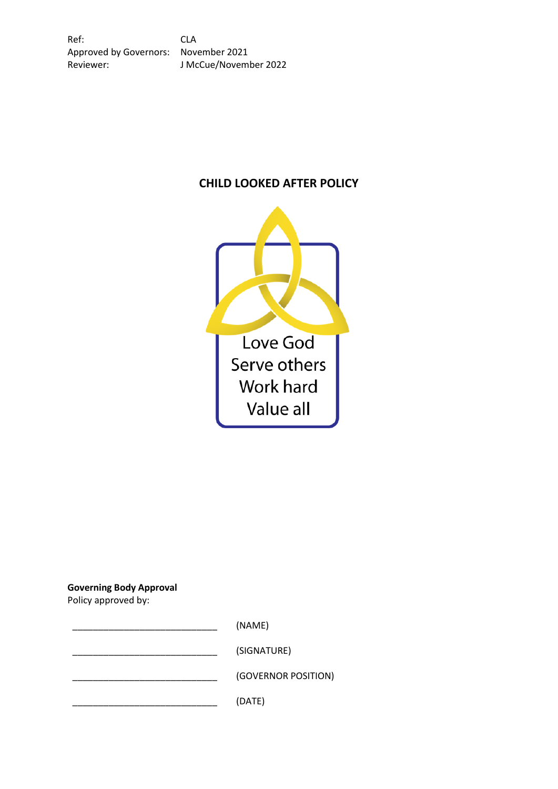# **CHILD LOOKED AFTER POLICY**



**Governing Body Approval**

Policy approved by:

\_\_\_\_\_\_\_\_\_\_\_\_\_\_\_\_\_\_\_\_\_\_\_\_\_\_\_\_ (NAME) \_\_\_\_\_\_\_\_\_\_\_\_\_\_\_\_\_\_\_\_\_\_\_\_\_\_\_\_ (SIGNATURE) \_\_\_\_\_\_\_\_\_\_\_\_\_\_\_\_\_\_\_\_\_\_\_\_\_\_\_\_ (GOVERNOR POSITION)  $(DATE)$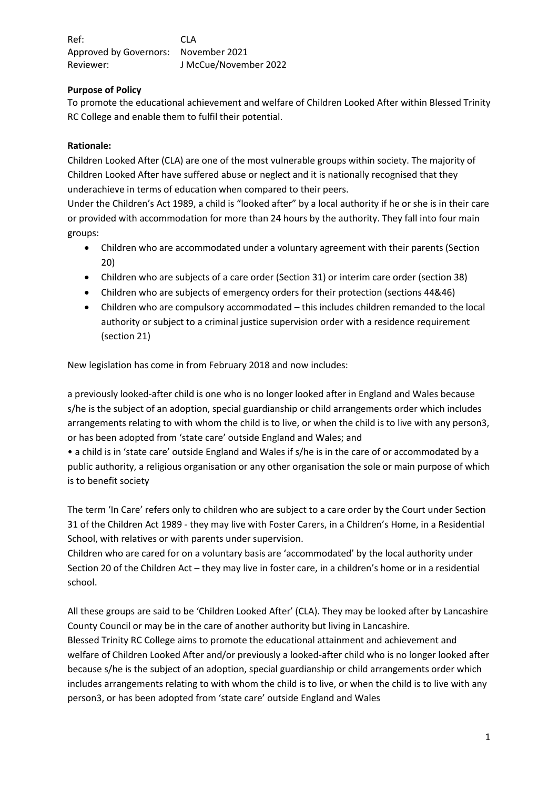# **Purpose of Policy**

To promote the educational achievement and welfare of Children Looked After within Blessed Trinity RC College and enable them to fulfil their potential.

# **Rationale:**

Children Looked After (CLA) are one of the most vulnerable groups within society. The majority of Children Looked After have suffered abuse or neglect and it is nationally recognised that they underachieve in terms of education when compared to their peers.

Under the Children's Act 1989, a child is "looked after" by a local authority if he or she is in their care or provided with accommodation for more than 24 hours by the authority. They fall into four main groups:

- Children who are accommodated under a voluntary agreement with their parents (Section 20)
- Children who are subjects of a care order (Section 31) or interim care order (section 38)
- Children who are subjects of emergency orders for their protection (sections 44&46)
- Children who are compulsory accommodated this includes children remanded to the local authority or subject to a criminal justice supervision order with a residence requirement (section 21)

New legislation has come in from February 2018 and now includes:

a previously looked-after child is one who is no longer looked after in England and Wales because s/he is the subject of an adoption, special guardianship or child arrangements order which includes arrangements relating to with whom the child is to live, or when the child is to live with any person3, or has been adopted from 'state care' outside England and Wales; and

• a child is in 'state care' outside England and Wales if s/he is in the care of or accommodated by a public authority, a religious organisation or any other organisation the sole or main purpose of which is to benefit society

The term 'In Care' refers only to children who are subject to a care order by the Court under Section 31 of the Children Act 1989 - they may live with Foster Carers, in a Children's Home, in a Residential School, with relatives or with parents under supervision.

Children who are cared for on a voluntary basis are 'accommodated' by the local authority under Section 20 of the Children Act – they may live in foster care, in a children's home or in a residential school.

All these groups are said to be 'Children Looked After' (CLA). They may be looked after by Lancashire County Council or may be in the care of another authority but living in Lancashire.

Blessed Trinity RC College aims to promote the educational attainment and achievement and welfare of Children Looked After and/or previously a looked-after child who is no longer looked after because s/he is the subject of an adoption, special guardianship or child arrangements order which includes arrangements relating to with whom the child is to live, or when the child is to live with any person3, or has been adopted from 'state care' outside England and Wales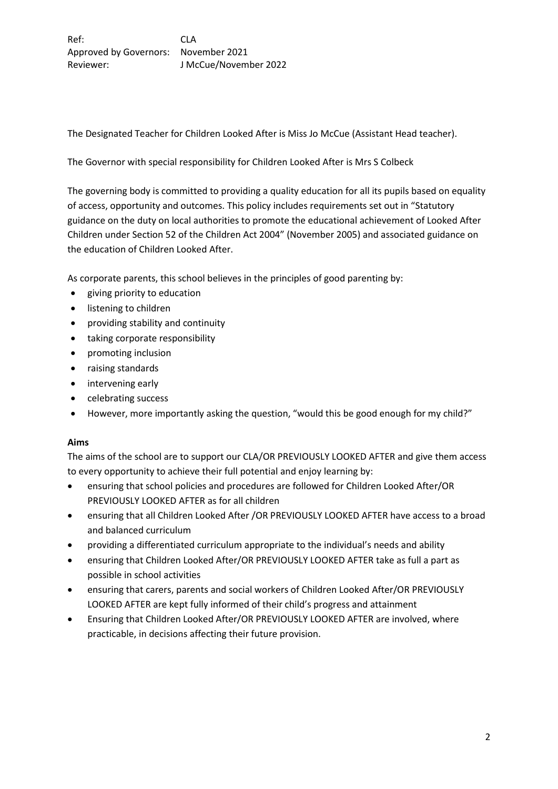The Designated Teacher for Children Looked After is Miss Jo McCue (Assistant Head teacher).

The Governor with special responsibility for Children Looked After is Mrs S Colbeck

The governing body is committed to providing a quality education for all its pupils based on equality of access, opportunity and outcomes. This policy includes requirements set out in "Statutory guidance on the duty on local authorities to promote the educational achievement of Looked After Children under Section 52 of the Children Act 2004" (November 2005) and associated guidance on the education of Children Looked After.

As corporate parents, this school believes in the principles of good parenting by:

- giving priority to education
- **•** listening to children
- providing stability and continuity
- taking corporate responsibility
- promoting inclusion
- raising standards
- intervening early
- celebrating success
- However, more importantly asking the question, "would this be good enough for my child?"

## **Aims**

The aims of the school are to support our CLA/OR PREVIOUSLY LOOKED AFTER and give them access to every opportunity to achieve their full potential and enjoy learning by:

- ensuring that school policies and procedures are followed for Children Looked After/OR PREVIOUSLY LOOKED AFTER as for all children
- ensuring that all Children Looked After /OR PREVIOUSLY LOOKED AFTER have access to a broad and balanced curriculum
- providing a differentiated curriculum appropriate to the individual's needs and ability
- ensuring that Children Looked After/OR PREVIOUSLY LOOKED AFTER take as full a part as possible in school activities
- ensuring that carers, parents and social workers of Children Looked After/OR PREVIOUSLY LOOKED AFTER are kept fully informed of their child's progress and attainment
- Ensuring that Children Looked After/OR PREVIOUSLY LOOKED AFTER are involved, where practicable, in decisions affecting their future provision.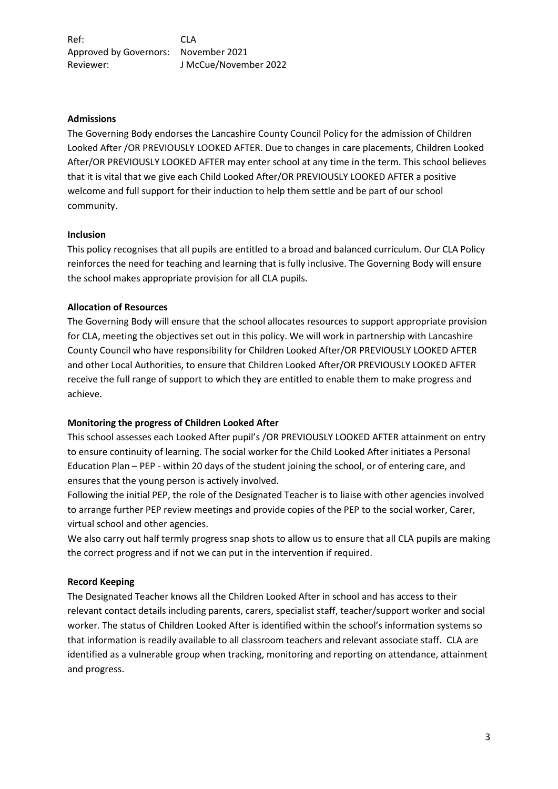#### **Admissions**

The Governing Body endorses the Lancashire County Council Policy for the admission of Children Looked After /OR PREVIOUSLY LOOKED AFTER. Due to changes in care placements, Children Looked After/OR PREVIOUSLY LOOKED AFTER may enter school at any time in the term. This school believes that it is vital that we give each Child Looked After/OR PREVIOUSLY LOOKED AFTER a positive welcome and full support for their induction to help them settle and be part of our school community.

#### **Inclusion**

This policy recognises that all pupils are entitled to a broad and balanced curriculum. Our CLA Policy reinforces the need for teaching and learning that is fully inclusive. The Governing Body will ensure the school makes appropriate provision for all CLA pupils.

## **Allocation of Resources**

The Governing Body will ensure that the school allocates resources to support appropriate provision for CLA, meeting the objectives set out in this policy. We will work in partnership with Lancashire County Council who have responsibility for Children Looked After/OR PREVIOUSLY LOOKED AFTER and other Local Authorities, to ensure that Children Looked After/OR PREVIOUSLY LOOKED AFTER receive the full range of support to which they are entitled to enable them to make progress and achieve.

## **Monitoring the progress of Children Looked After**

This school assesses each Looked After pupil's /OR PREVIOUSLY LOOKED AFTER attainment on entry to ensure continuity of learning. The social worker for the Child Looked After initiates a Personal Education Plan – PEP - within 20 days of the student joining the school, or of entering care, and ensures that the young person is actively involved.

Following the initial PEP, the role of the Designated Teacher is to liaise with other agencies involved to arrange further PEP review meetings and provide copies of the PEP to the social worker, Carer, virtual school and other agencies.

We also carry out half termly progress snap shots to allow us to ensure that all CLA pupils are making the correct progress and if not we can put in the intervention if required.

## **Record Keeping**

The Designated Teacher knows all the Children Looked After in school and has access to their relevant contact details including parents, carers, specialist staff, teacher/support worker and social worker. The status of Children Looked After is identified within the school's information systems so that information is readily available to all classroom teachers and relevant associate staff. CLA are identified as a vulnerable group when tracking, monitoring and reporting on attendance, attainment and progress.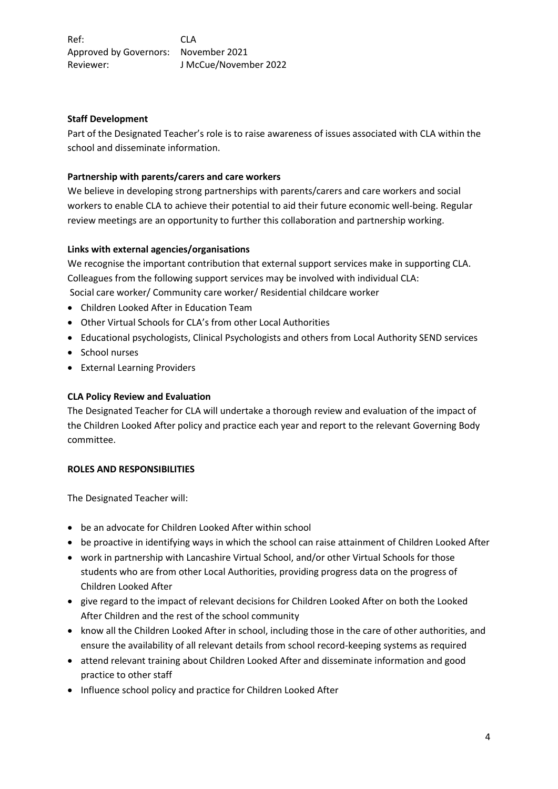#### **Staff Development**

Part of the Designated Teacher's role is to raise awareness of issues associated with CLA within the school and disseminate information.

### **Partnership with parents/carers and care workers**

We believe in developing strong partnerships with parents/carers and care workers and social workers to enable CLA to achieve their potential to aid their future economic well-being. Regular review meetings are an opportunity to further this collaboration and partnership working.

#### **Links with external agencies/organisations**

We recognise the important contribution that external support services make in supporting CLA. Colleagues from the following support services may be involved with individual CLA: Social care worker/ Community care worker/ Residential childcare worker

- Children Looked After in Education Team
- Other Virtual Schools for CLA's from other Local Authorities
- Educational psychologists, Clinical Psychologists and others from Local Authority SEND services
- School nurses
- External Learning Providers

#### **CLA Policy Review and Evaluation**

The Designated Teacher for CLA will undertake a thorough review and evaluation of the impact of the Children Looked After policy and practice each year and report to the relevant Governing Body committee.

#### **ROLES AND RESPONSIBILITIES**

The Designated Teacher will:

- be an advocate for Children Looked After within school
- be proactive in identifying ways in which the school can raise attainment of Children Looked After
- work in partnership with Lancashire Virtual School, and/or other Virtual Schools for those students who are from other Local Authorities, providing progress data on the progress of Children Looked After
- give regard to the impact of relevant decisions for Children Looked After on both the Looked After Children and the rest of the school community
- know all the Children Looked After in school, including those in the care of other authorities, and ensure the availability of all relevant details from school record-keeping systems as required
- attend relevant training about Children Looked After and disseminate information and good practice to other staff
- Influence school policy and practice for Children Looked After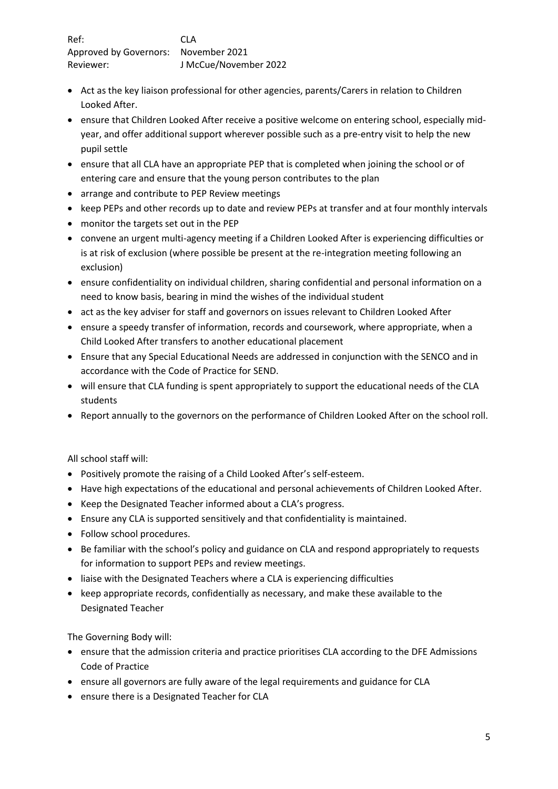- Act as the key liaison professional for other agencies, parents/Carers in relation to Children Looked After.
- ensure that Children Looked After receive a positive welcome on entering school, especially midyear, and offer additional support wherever possible such as a pre-entry visit to help the new pupil settle
- ensure that all CLA have an appropriate PEP that is completed when joining the school or of entering care and ensure that the young person contributes to the plan
- arrange and contribute to PEP Review meetings
- keep PEPs and other records up to date and review PEPs at transfer and at four monthly intervals
- monitor the targets set out in the PEP
- convene an urgent multi-agency meeting if a Children Looked After is experiencing difficulties or is at risk of exclusion (where possible be present at the re-integration meeting following an exclusion)
- ensure confidentiality on individual children, sharing confidential and personal information on a need to know basis, bearing in mind the wishes of the individual student
- act as the key adviser for staff and governors on issues relevant to Children Looked After
- ensure a speedy transfer of information, records and coursework, where appropriate, when a Child Looked After transfers to another educational placement
- Ensure that any Special Educational Needs are addressed in conjunction with the SENCO and in accordance with the Code of Practice for SEND.
- will ensure that CLA funding is spent appropriately to support the educational needs of the CLA students
- Report annually to the governors on the performance of Children Looked After on the school roll.

All school staff will:

- Positively promote the raising of a Child Looked After's self-esteem.
- Have high expectations of the educational and personal achievements of Children Looked After.
- Keep the Designated Teacher informed about a CLA's progress.
- Ensure any CLA is supported sensitively and that confidentiality is maintained.
- Follow school procedures.
- Be familiar with the school's policy and guidance on CLA and respond appropriately to requests for information to support PEPs and review meetings.
- liaise with the Designated Teachers where a CLA is experiencing difficulties
- keep appropriate records, confidentially as necessary, and make these available to the Designated Teacher

The Governing Body will:

- ensure that the admission criteria and practice prioritises CLA according to the DFE Admissions Code of Practice
- ensure all governors are fully aware of the legal requirements and guidance for CLA
- ensure there is a Designated Teacher for CLA